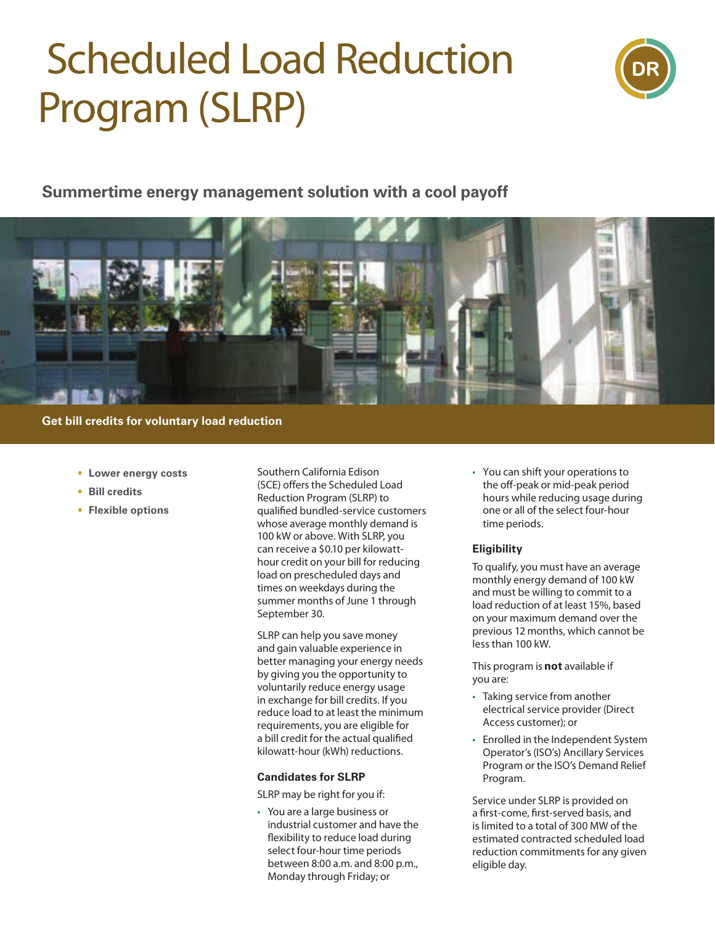# **Scheduled Load Reduction Program (SLRP)**



### **Summertime energy management solution with a cool payoff**



**Get bill credits for voluntary load reduction**

- **• Lower energy costs**
- **• Bill credits**
- **• Flexible options**

Southern California Edison (SCE) offers the Scheduled Load Reduction Program (SLRP) to qualified bundled-service customers whose average monthly demand is 100 kW or above. With SLRP, you can receive a \$0.10 per kilowatthour credit on your bill for reducing load on prescheduled days and times on weekdays during the summer months of June 1 through September 30.

SLRP can help you save money and gain valuable experience in better managing your energy needs by giving you the opportunity to voluntarily reduce energy usage in exchange for bill credits. If you reduce load to at least the minimum requirements, you are eligible for a bill credit for the actual qualified kilowatt-hour (kWh) reductions.

#### **Candidates for SLRP**

SLRP may be right for you if:

• You are a large business or industrial customer and have the flexibility to reduce load during select four-hour time periods between 8:00 a.m. and 8:00 p.m., Monday through Friday; or

• You can shift your operations to the off-peak or mid-peak period hours while reducing usage during one or all of the select four-hour time periods.

#### **Eligibility**

To qualify, you must have an average monthly energy demand of 100 kW and must be willing to commit to a load reduction of at least 15%, based on your maximum demand over the previous 12 months, which cannot be less than 100 kW.

This program is **not** available if you are:

- Taking service from another electrical service provider (Direct Access customer); or
- Enrolled in the Independent System Operator's (ISO's) Ancillary Services Program or the ISO's Demand Relief Program.

Service under SLRP is provided on a first-come, first-served basis, and is limited to a total of 300 MW of the estimated contracted scheduled load reduction commitments for any given eligible day.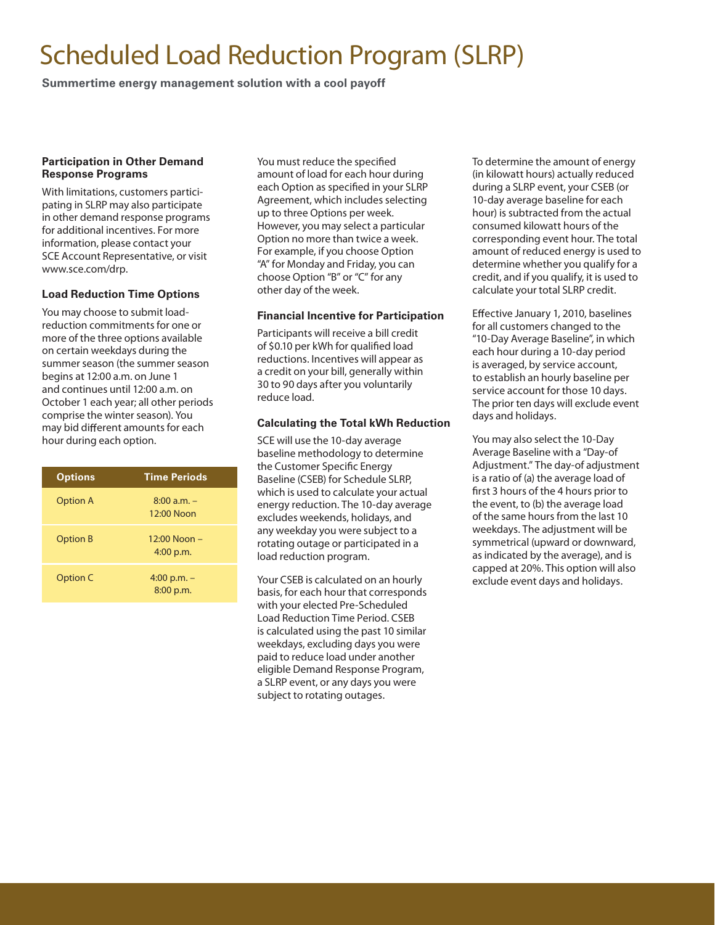## **Scheduled Load Reduction Program (SLRP)**

**Summertime energy management solution with a cool payoff**

#### **Participation in Other Demand Response Programs**

With limitations, customers participating in SLRP may also participate in other demand response programs for additional incentives. For more information, please contact your SCE Account Representative, or visit **www.sce.com/drp.**

#### **Load Reduction Time Options**

You may choose to submit loadreduction commitments for one or more of the three options available on certain weekdays during the summer season (the summer season begins at 12:00 a.m. on June 1 and continues until 12:00 a.m. on October 1 each year; all other periods comprise the winter season). You may bid different amounts for each hour during each option.

| <b>Options</b>  | <b>Time Periods</b>             |
|-----------------|---------------------------------|
| <b>Option A</b> | $8:00$ a.m. $-$<br>$12:00$ Noon |
| <b>Option B</b> | $12:00$ Noon $-$<br>$4:00$ p.m. |
| Option C        | 4:00 p.m. $-$<br>8:00 p.m.      |

You must reduce the specified amount of load for each hour during each Option as specified in your SLRP Agreement, which includes selecting up to three Options per week. However, you may select a particular Option no more than twice a week. For example, if you choose Option "A" for Monday and Friday, you can choose Option "B" or "C" for any other day of the week.

#### **Financial Incentive for Participation**

Participants will receive a bill credit of \$0.10 per kWh for qualified load reductions. Incentives will appear as a credit on your bill, generally within 30 to 90 days after you voluntarily reduce load.

#### **Calculating the Total kWh Reduction**

SCE will use the 10-day average baseline methodology to determine the Customer Specific Energy Baseline (CSEB) for Schedule SLRP, which is used to calculate your actual energy reduction. The 10-day average excludes weekends, holidays, and any weekday you were subject to a rotating outage or participated in a load reduction program.

Your CSEB is calculated on an hourly basis, for each hour that corresponds with your elected Pre-Scheduled Load Reduction Time Period. CSEB is calculated using the past 10 similar weekdays, excluding days you were paid to reduce load under another eligible Demand Response Program, a SLRP event, or any days you were subject to rotating outages.

To determine the amount of energy (in kilowatt hours) actually reduced during a SLRP event, your CSEB (or 10-day average baseline for each hour) is subtracted from the actual consumed kilowatt hours of the corresponding event hour. The total amount of reduced energy is used to determine whether you qualify for a credit, and if you qualify, it is used to calculate your total SLRP credit.

Effective January 1, 2010, baselines for all customers changed to the "10-Day Average Baseline", in which each hour during a 10-day period is averaged, by service account, to establish an hourly baseline per service account for those 10 days. The prior ten days will exclude event days and holidays.

You may also select the 10-Day Average Baseline with a "Day-of Adjustment." The day-of adjustment is a ratio of (a) the average load of first 3 hours of the 4 hours prior to the event, to (b) the average load of the same hours from the last 10 weekdays. The adjustment will be symmetrical (upward or downward, as indicated by the average), and is capped at 20%. This option will also exclude event days and holidays.